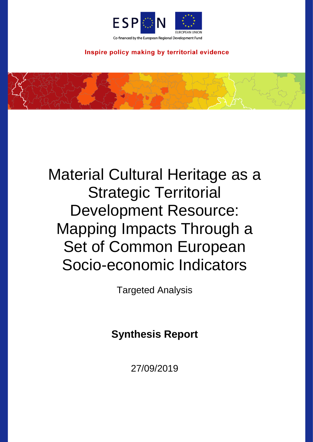

Inspire policy making by territorial evidence

# Material Cultural Heritage as a Strategic Territorial Development Resource: Mapping Impacts Through a Set of Common European Socio-economic Indicators

**Targeted Analysis** 

## **Synthesis Report**

27/09/2019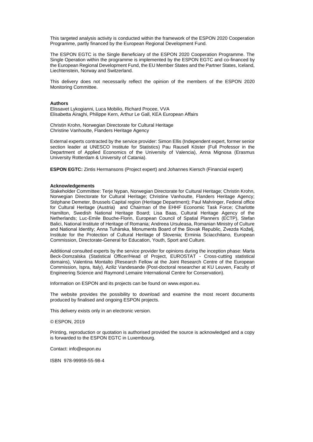This targeted analysis activity is conducted within the framework of the ESPON 2020 Cooperation Programme, partly financed by the European Regional Development Fund.

The ESPON EGTC is the Single Beneficiary of the ESPON 2020 Cooperation Programme. The Single Operation within the programme is implemented by the ESPON EGTC and co-financed by the European Regional Development Fund, the EU Member States and the Partner States, Iceland, Liechtenstein, Norway and Switzerland.

This delivery does not necessarily reflect the opinion of the members of the ESPON 2020 Monitoring Committee.

#### **Authors**

Elissavet Lykogianni, Luca Mobilio, Richard Procee, VVA Elisabetta Airaghi, Philippe Kern, Arthur Le Gall, KEA European Affairs

Christin Krohn, Norwegian Directorate for Cultural Heritage Christine Vanhoutte, Flanders Heritage Agency

External experts contracted by the service provider: Simon Ellis (Independent expert, former senior section leader at UNESCO Institute for Statistics) Pau Rausell Köster (Full Professor in the Department of Applied Economics of the University of Valencia), Anna Mignosa (Erasmus University Rotterdam & University of Catania).

**ESPON EGTC:** Zintis Hermansons (Project expert) and Johannes Kiersch (Financial expert)

#### **Acknowledgements**

Stakeholder Committee: Terje Nypan, Norwegian Directorate for Cultural Heritage; Christin Krohn, Norwegian Directorate for Cultural Heritage; Christine Vanhoutte, Flanders Heritage Agency; Stéphane Demeter, Brussels Capital region (Heritage Department); Paul Mahringer, Federal office for Cultural Heritage (Austria) and Chairman of the EHHF Economic Task Force; Charlotte Hamilton, Swedish National Heritage Board; Lisa Baas, Cultural Heritage Agency of the Netherlands; Luc-Emile Bouche-Florin, European Council of Spatial Planners (ECTP), Stefan Balici, National Institute of Heritage of Romania; Andreea Ursuleasa, Romanian Ministry of Culture and National Identity; Anna Tuhárska, Monuments Board of the Slovak Republic, Zvezda Koželj, Institute for the Protection of Cultural Heritage of Slovenia; Erminia Sciacchitano, European Commission, Directorate-General for Education, Youth, Sport and Culture.

Additional consulted experts by the service provider for opinions during the inception phase: Marta Beck-Domzalska (Statistical Officer/Head of Project, EUROSTAT - Cross-cutting statistical domains), Valentina Montalto (Research Fellow at the Joint Research Centre of the European Commission, Ispra, Italy), Aziliz Vandesande (Post-doctoral researcher at KU Leuven, Faculty of Engineering Science and Raymond Lemaire International Centre for Conservation).

Information on ESPON and its projects can be found on [www.espon.eu.](https://www.espon.eu/)

The website provides the possibility to download and examine the most recent documents produced by finalised and ongoing ESPON projects.

This delivery exists only in an electronic version.

#### © ESPON, 2019

Printing, reproduction or quotation is authorised provided the source is acknowledged and a copy is forwarded to the ESPON EGTC in Luxembourg.

Contact: [info@espon.eu](mailto:info@espon.eu)

ISBN 978-99959-55-98-4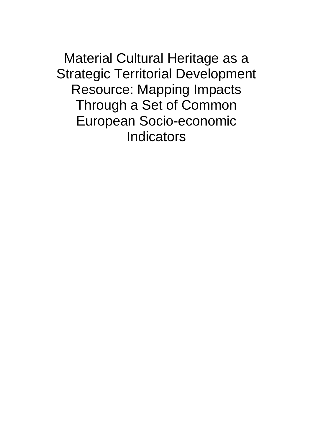Material Cultural Heritage as a Strategic Territorial Development Resource: Mapping Impacts Through a Set of Common European Socio-economic **Indicators**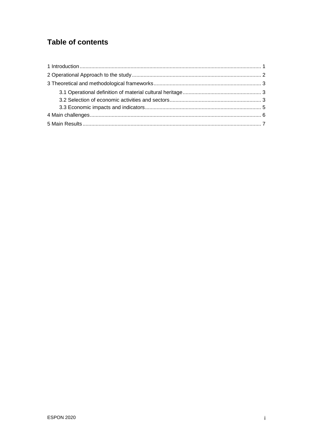## **Table of contents**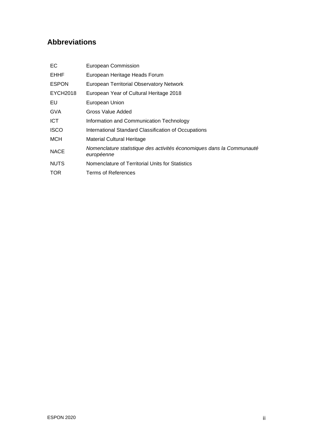## **Abbreviations**

| EC           | European Commission                                                                 |
|--------------|-------------------------------------------------------------------------------------|
| <b>EHHF</b>  | European Heritage Heads Forum                                                       |
| <b>ESPON</b> | European Territorial Observatory Network                                            |
| EYCH2018     | European Year of Cultural Heritage 2018                                             |
| EU           | European Union                                                                      |
| <b>GVA</b>   | Gross Value Added                                                                   |
| ICT.         | Information and Communication Technology                                            |
| <b>ISCO</b>  | International Standard Classification of Occupations                                |
| MCH          | <b>Material Cultural Heritage</b>                                                   |
| <b>NACE</b>  | Nomenclature statistique des activités économiques dans la Communauté<br>européenne |
| <b>NUTS</b>  | Nomenclature of Territorial Units for Statistics                                    |
| <b>TOR</b>   | Terms of References                                                                 |
|              |                                                                                     |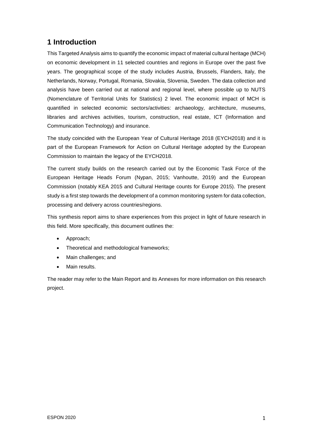## <span id="page-5-0"></span>**1 Introduction**

This Targeted Analysis aims to quantify the economic impact of material cultural heritage (MCH) on economic development in 11 selected countries and regions in Europe over the past five years. The geographical scope of the study includes Austria, Brussels, Flanders, Italy, the Netherlands, Norway, Portugal, Romania, Slovakia, Slovenia, Sweden. The data collection and analysis have been carried out at national and regional level, where possible up to NUTS (Nomenclature of Territorial Units for Statistics) 2 level. The economic impact of MCH is quantified in selected economic sectors/activities: archaeology, architecture, museums, libraries and archives activities, tourism, construction, real estate, ICT (Information and Communication Technology) and insurance.

The study coincided with the European Year of Cultural Heritage 2018 (EYCH2018) and it is part of the European Framework for Action on Cultural Heritage adopted by the European Commission to maintain the legacy of the EYCH2018.

The current study builds on the research carried out by the Economic Task Force of the European Heritage Heads Forum (Nypan, 2015; Vanhoutte, 2019) and the European Commission (notably KEA 2015 and Cultural Heritage counts for Europe 2015). The present study is a first step towards the development of a common monitoring system for data collection, processing and delivery across countries/regions.

This synthesis report aims to share experiences from this project in light of future research in this field. More specifically, this document outlines the:

- Approach;
- Theoretical and methodological frameworks;
- Main challenges; and
- Main results.

The reader may refer to the Main Report and its Annexes for more information on this research project.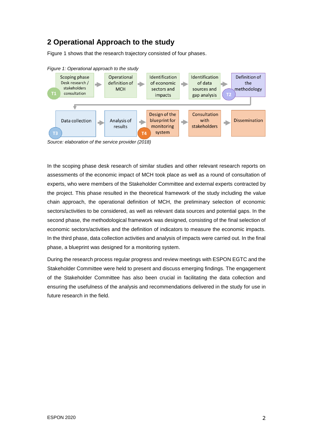## <span id="page-6-0"></span>**2 Operational Approach to the study**

[Figure 1](#page-6-1) shows that the research trajectory consisted of four phases.



<span id="page-6-1"></span>*Figure 1: Operational approach to the study*

*Source: elaboration of the service provider (2018)*

In the scoping phase desk research of similar studies and other relevant research reports on assessments of the economic impact of MCH took place as well as a round of consultation of experts, who were members of the Stakeholder Committee and external experts contracted by the project. This phase resulted in the theoretical framework of the study including the value chain approach, the operational definition of MCH, the preliminary selection of economic sectors/activities to be considered, as well as relevant data sources and potential gaps. In the second phase, the methodological framework was designed, consisting of the final selection of economic sectors/activities and the definition of indicators to measure the economic impacts. In the third phase, data collection activities and analysis of impacts were carried out. In the final phase, a blueprint was designed for a monitoring system.

During the research process regular progress and review meetings with ESPON EGTC and the Stakeholder Committee were held to present and discuss emerging findings. The engagement of the Stakeholder Committee has also been crucial in facilitating the data collection and ensuring the usefulness of the analysis and recommendations delivered in the study for use in future research in the field.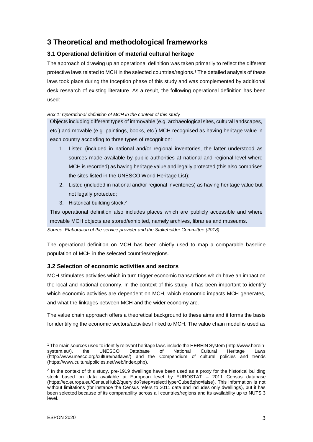## <span id="page-7-0"></span>**3 Theoretical and methodological frameworks**

### <span id="page-7-1"></span>**3.1 Operational definition of material cultural heritage**

The approach of drawing up an operational definition was taken primarily to reflect the different protective laws related to MCH in the selected countries/regions. <sup>1</sup> The detailed analysis of these laws took place during the Inception phase of this study and was complemented by additional desk research of existing literature. As a result, the following operational definition has been used:

#### *Box 1: Operational definition of MCH in the context of this study*

Objects including different types of immovable (e.g. archaeological sites, cultural landscapes, etc.) and movable (e.g. paintings, books, etc.) MCH recognised as having heritage value in each country according to three types of recognition:

- 1. Listed (included in national and/or regional inventories, the latter understood as sources made available by public authorities at national and regional level where MCH is recorded) as having heritage value and legally protected (this also comprises the sites listed in the UNESCO World Heritage List);
- 2. Listed (included in national and/or regional inventories) as having heritage value but not legally protected;
- 3. Historical building stock.<sup>2</sup>

This operational definition also includes places which are publicly accessible and where movable MCH objects are stored/exhibited, namely archives, libraries and museums.

*Source: Elaboration of the service provider and the Stakeholder Committee (2018)*

The operational definition on MCH has been chiefly used to map a comparable baseline population of MCH in the selected countries/regions.

### <span id="page-7-2"></span>**3.2 Selection of economic activities and sectors**

MCH stimulates activities which in turn trigger economic transactions which have an impact on the local and national economy. In the context of this study, it has been important to identify which economic activities are dependent on MCH, which economic impacts MCH generates, and what the linkages between MCH and the wider economy are.

The value chain approach offers a theoretical background to these aims and it forms the basis for identifying the economic sectors/activities linked to MCH. The value chain model is used as

l

<sup>1</sup> The main sources used to identify relevant heritage laws include the HEREIN System [\(http://www.herein](http://www.herein-system.eu/)[system.eu/\)](http://www.herein-system.eu/), the UNESCO Database of National Cultural Heritage Laws [\(http://www.unesco.org/culture/natlaws/\)](http://www.unesco.org/culture/natlaws/) and the Compendium of cultural policies and trends [\(https://www.culturalpolicies.net/web/index.php\)](https://www.culturalpolicies.net/web/index.php).

<sup>&</sup>lt;sup>2</sup> In the context of this study, pre-1919 dwellings have been used as a proxy for the historical building stock based on data available at European level by EUROSTAT – 2011 Census database (https://ec.europa.eu/CensusHub2/query.do?step=selectHyperCube&qhc=false). This information is not without limitations (for instance the Census refers to 2011 data and includes only dwellings), but it has been selected because of its comparability across all countries/regions and its availability up to NUTS 3 level.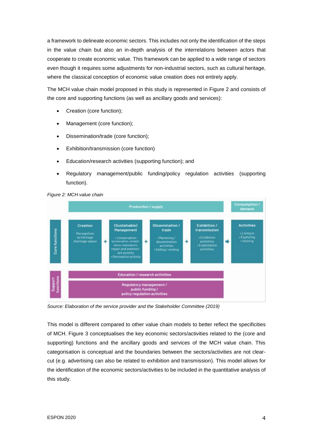a framework to delineate economic sectors. This includes not only the identification of the steps in the value chain but also an in-depth analysis of the interrelations between actors that cooperate to create economic value. This framework can be applied to a wide range of sectors even though it requires some adjustments for non-industrial sectors, such as cultural heritage, where the classical conception of economic value creation does not entirely apply.

The MCH value chain model proposed in this study is represented in [Figure 2](#page-8-0) and consists of the core and supporting functions (as well as ancillary goods and services):

- Creation (core function);
- Management (core function);
- Dissemination/trade (core function);
- Exhibition/transmission (core function)
- Education/research activities (supporting function); and
- Regulatory management/public funding/policy regulation activities (supporting function).

<span id="page-8-0"></span>



*Source: Elaboration of the service provider and the Stakeholder Committee (2019)*

This model is different compared to other value chain models to better reflect the specificities of MCH. [Figure 3](#page-9-1) conceptualises the key economic sectors/activities related to the (core and supporting) functions and the ancillary goods and services of the MCH value chain. This categorisation is conceptual and the boundaries between the sectors/activities are not clearcut (e.g. advertising can also be related to exhibition and transmission). This model allows for the identification of the economic sectors/activities to be included in the quantitative analysis of this study.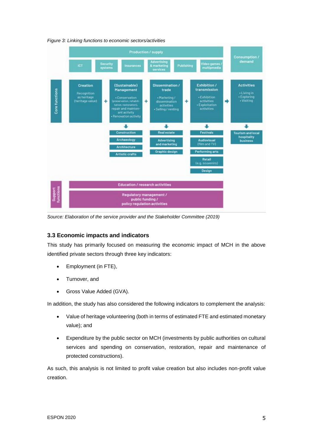

<span id="page-9-1"></span>*Figure 3: Linking functions to economic sectors/activities*

*Source: Elaboration of the service provider and the Stakeholder Committee (2019)*

### <span id="page-9-0"></span>**3.3 Economic impacts and indicators**

This study has primarily focused on measuring the economic impact of MCH in the above identified private sectors through three key indicators:

- Employment (in FTE),
- Turnover, and
- Gross Value Added (GVA).

In addition, the study has also considered the following indicators to complement the analysis:

- Value of heritage volunteering (both in terms of estimated FTE and estimated monetary value); and
- Expenditure by the public sector on MCH (investments by public authorities on cultural services and spending on conservation, restoration, repair and maintenance of protected constructions).

As such, this analysis is not limited to profit value creation but also includes non-profit value creation.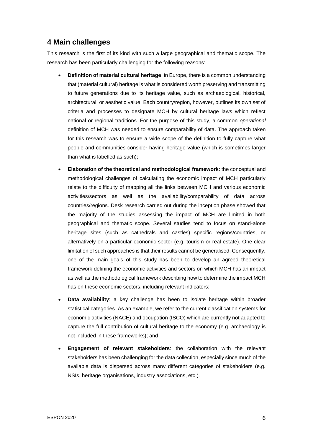## <span id="page-10-0"></span>**4 Main challenges**

This research is the first of its kind with such a large geographical and thematic scope. The research has been particularly challenging for the following reasons:

- **Definition of material cultural heritage**: in Europe, there is a common understanding that (material cultural) heritage is what is considered worth preserving and transmitting to future generations due to its heritage value, such as archaeological, historical, architectural, or aesthetic value. Each country/region, however, outlines its own set of criteria and processes to designate MCH by cultural heritage laws which reflect national or regional traditions. For the purpose of this study, a common *operational*  definition of MCH was needed to ensure comparability of data. The approach taken for this research was to ensure a wide scope of the definition to fully capture what people and communities consider having heritage value (which is sometimes larger than what is labelled as such);
- **Elaboration of the theoretical and methodological framework**: the conceptual and methodological challenges of calculating the economic impact of MCH particularly relate to the difficulty of mapping all the links between MCH and various economic activities/sectors as well as the availability/comparability of data across countries/regions. Desk research carried out during the inception phase showed that the majority of the studies assessing the impact of MCH are limited in both geographical and thematic scope. Several studies tend to focus on stand-alone heritage sites (such as cathedrals and castles) specific regions/countries, or alternatively on a particular economic sector (e.g. tourism or real estate). One clear limitation of such approaches is that their results cannot be generalised. Consequently, one of the main goals of this study has been to develop an agreed theoretical framework defining the economic activities and sectors on which MCH has an impact as well as the methodological framework describing how to determine the impact MCH has on these economic sectors, including relevant indicators;
- **Data availability**: a key challenge has been to isolate heritage within broader statistical categories. As an example, we refer to the current classification systems for economic activities (NACE) and occupation (ISCO) which are currently not adapted to capture the full contribution of cultural heritage to the economy (e.g. archaeology is not included in these frameworks); and
- **Engagement of relevant stakeholders**: the collaboration with the relevant stakeholders has been challenging for the data collection, especially since much of the available data is dispersed across many different categories of stakeholders (e.g. NSIs, heritage organisations, industry associations, etc.).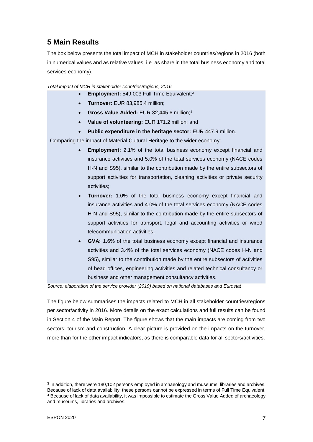## <span id="page-11-0"></span>**5 Main Results**

The box below presents the total impact of MCH in stakeholder countries/regions in 2016 (both in numerical values and as relative values, i.e. as share in the total business economy and total services economy).

*Total impact of MCH in stakeholder countries/regions, 2016*

- **Employment:** 549,003 Full Time Equivalent;<sup>3</sup>
- **Turnover:** EUR 83,985.4 million;
- **Gross Value Added:** EUR 32,445.6 million;<sup>4</sup>
- **Value of volunteering:** EUR 171.2 million; and
- **Public expenditure in the heritage sector:** EUR 447.9 million.

Comparing the impact of Material Cultural Heritage to the wider economy:

- **Employment:** 2.1% of the total business economy except financial and insurance activities and 5.0% of the total services economy (NACE codes H-N and S95), similar to the contribution made by the entire subsectors of support activities for transportation, cleaning activities or private security activities;
- **Turnover:** 1.0% of the total business economy except financial and insurance activities and 4.0% of the total services economy (NACE codes H-N and S95), similar to the contribution made by the entire subsectors of support activities for transport, legal and accounting activities or wired telecommunication activities;
- **GVA:** 1.6% of the total business economy except financial and insurance activities and 3.4% of the total services economy (NACE codes H-N and S95), similar to the contribution made by the entire subsectors of activities of head offices, engineering activities and related technical consultancy or business and other management consultancy activities.

*Source: elaboration of the service provider (2019) based on national databases and Eurostat*

The figure below summarises the impacts related to MCH in all stakeholder countries/regions per sector/activity in 2016. More details on the exact calculations and full results can be found in Section 4 of the Main Report. The figure shows that the main impacts are coming from two sectors: tourism and construction. A clear picture is provided on the impacts on the turnover, more than for the other impact indicators, as there is comparable data for all sectors/activities.

l

<sup>&</sup>lt;sup>3</sup> In addition, there were 180,102 persons employed in archaeology and museums, libraries and archives. Because of lack of data availability, these persons cannot be expressed in terms of Full Time Equivalent. <sup>4</sup> Because of lack of data availability, it was impossible to estimate the Gross Value Added of archaeology and museums, libraries and archives.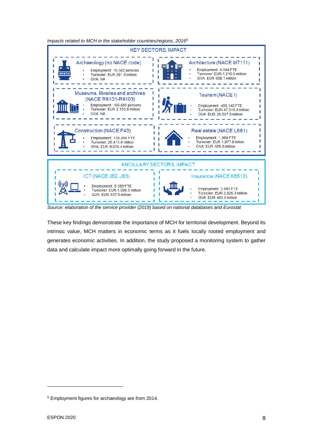

*Impacts related to MCH in the stakeholder countries/regions, 2016<sup>5</sup>*

*Source: elaboration of the service provider (2019) based on national databases and Eurostat*

These key findings demonstrate the importance of MCH for territorial development. Beyond its intrinsic value, MCH matters in economic terms as it fuels locally rooted employment and generates economic activities. In addition, the study proposed a monitoring system to gather data and calculate impact more optimally going forward in the future.

l

<sup>5</sup> Employment figures for archaeology are from 2014.